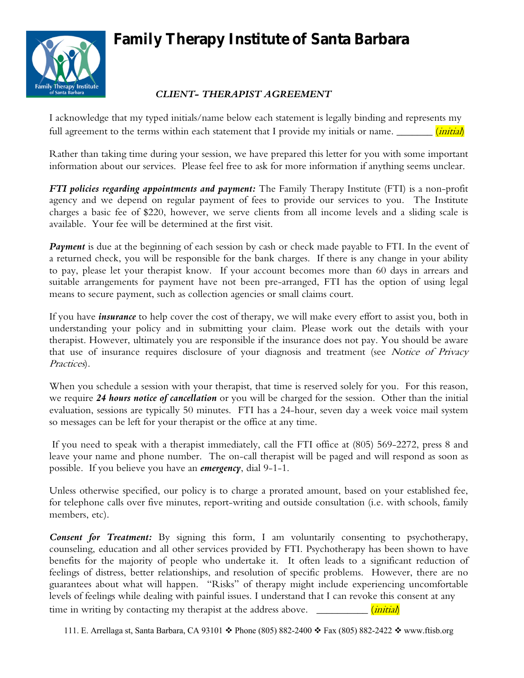## **Family Therapy Institute of Santa Barbara**



## *CLIENT- THERAPIST AGREEMENT*

I acknowledge that my typed initials/name below each statement is legally binding and represents my full agreement to the terms within each statement that I provide my initials or name.  $\frac{1}{\frac{1}{12}}$ 

Rather than taking time during your session, we have prepared this letter for you with some important information about our services. Please feel free to ask for more information if anything seems unclear.

*FTI policies regarding appointments and payment:* The Family Therapy Institute (FTI) is a non-profit agency and we depend on regular payment of fees to provide our services to you. The Institute charges a basic fee of \$220, however, we serve clients from all income levels and a sliding scale is available. Your fee will be determined at the first visit.

*Payment* is due at the beginning of each session by cash or check made payable to FTI. In the event of a returned check, you will be responsible for the bank charges. If there is any change in your ability to pay, please let your therapist know. If your account becomes more than 60 days in arrears and suitable arrangements for payment have not been pre-arranged, FTI has the option of using legal means to secure payment, such as collection agencies or small claims court.

If you have *insurance* to help cover the cost of therapy, we will make every effort to assist you, both in understanding your policy and in submitting your claim. Please work out the details with your therapist. However, ultimately you are responsible if the insurance does not pay. You should be aware that use of insurance requires disclosure of your diagnosis and treatment (see Notice of Privacy Practices).

When you schedule a session with your therapist, that time is reserved solely for you. For this reason, we require *24 hours notice of cancellation* or you will be charged for the session. Other than the initial evaluation, sessions are typically 50 minutes. FTI has a 24-hour, seven day a week voice mail system so messages can be left for your therapist or the office at any time.

If you need to speak with a therapist immediately, call the FTI office at (805) 569-2272, press 8 and leave your name and phone number. The on-call therapist will be paged and will respond as soon as possible. If you believe you have an *emergency*, dial 9-1-1.

Unless otherwise specified, our policy is to charge a prorated amount, based on your established fee, for telephone calls over five minutes, report-writing and outside consultation (i.e. with schools, family members, etc).

*Consent for Treatment:* By signing this form, I am voluntarily consenting to psychotherapy, counseling, education and all other services provided by FTI. Psychotherapy has been shown to have benefits for the majority of people who undertake it. It often leads to a significant reduction of feelings of distress, better relationships, and resolution of specific problems. However, there are no guarantees about what will happen. "Risks" of therapy might include experiencing uncomfortable levels of feelings while dealing with painful issues. I understand that I can revoke this consent at any time in writing by contacting my therapist at the address above.  $\frac{1}{\frac{1}{1 \cdot 1 \cdot 1}}$ 

111. E. Arrellaga st, Santa Barbara, CA 93101  $\div$  Phone (805) 882-2400  $\div$  Fax (805) 882-2422  $\div$  www.ftisb.org